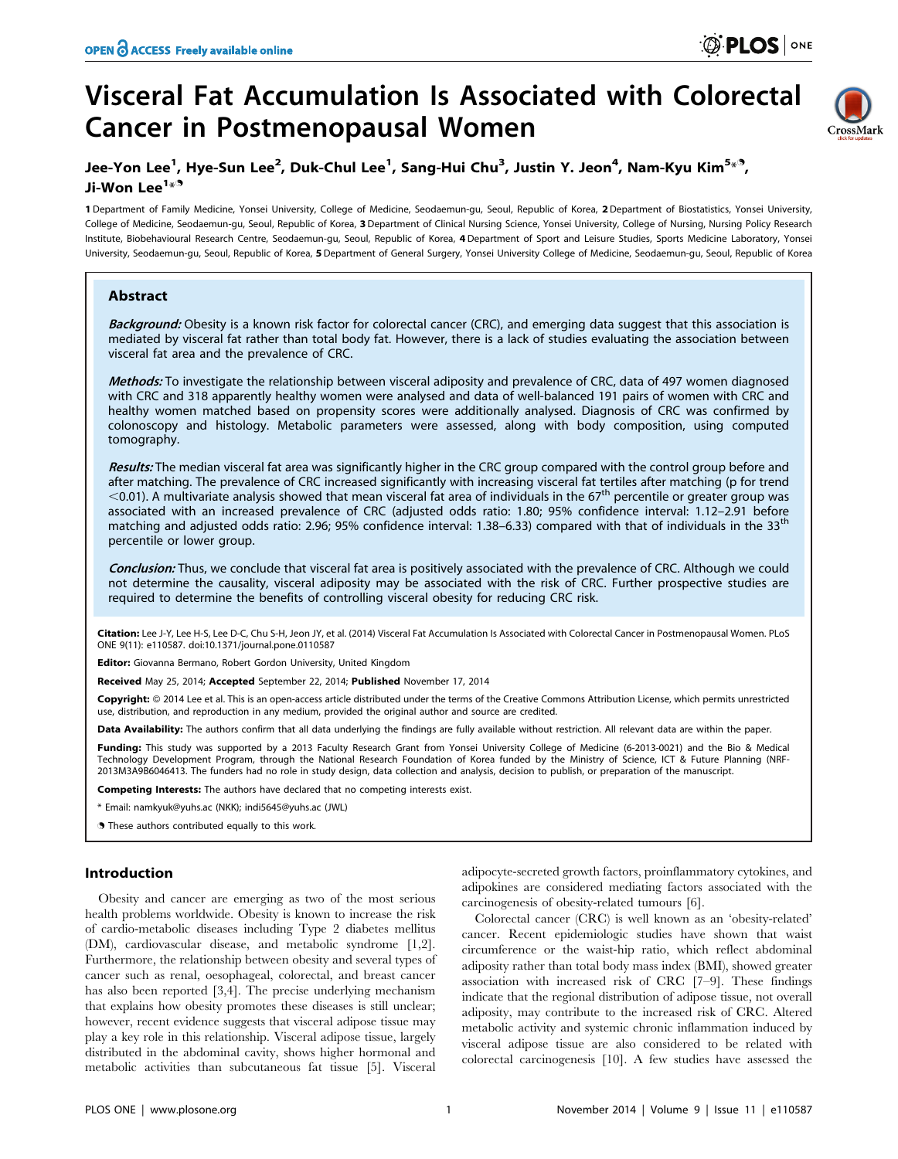# Visceral Fat Accumulation Is Associated with Colorectal Cancer in Postmenopausal Women



# Jee-Yon Lee<sup>1</sup>, Hye-Sun Lee<sup>2</sup>, Duk-Chul Lee<sup>1</sup>, Sang-Hui Chu<sup>3</sup>, Justin Y. Jeon<sup>4</sup>, Nam-Kyu Kim<sup>5</sup>\*<sup>9</sup>, Ji-Won Lee $^{1\ast 9}$

1 Department of Family Medicine, Yonsei University, College of Medicine, Seodaemun-gu, Seoul, Republic of Korea, 2 Department of Biostatistics, Yonsei University, College of Medicine, Seodaemun-gu, Seoul, Republic of Korea, 3 Department of Clinical Nursing Science, Yonsei University, College of Nursing, Nursing Policy Research Institute, Biobehavioural Research Centre, Seodaemun-gu, Seoul, Republic of Korea, 4 Department of Sport and Leisure Studies, Sports Medicine Laboratory, Yonsei University, Seodaemun-gu, Seoul, Republic of Korea, 5 Department of General Surgery, Yonsei University College of Medicine, Seodaemun-gu, Seoul, Republic of Korea

# Abstract

Background: Obesity is a known risk factor for colorectal cancer (CRC), and emerging data suggest that this association is mediated by visceral fat rather than total body fat. However, there is a lack of studies evaluating the association between visceral fat area and the prevalence of CRC.

Methods: To investigate the relationship between visceral adiposity and prevalence of CRC, data of 497 women diagnosed with CRC and 318 apparently healthy women were analysed and data of well-balanced 191 pairs of women with CRC and healthy women matched based on propensity scores were additionally analysed. Diagnosis of CRC was confirmed by colonoscopy and histology. Metabolic parameters were assessed, along with body composition, using computed tomography.

Results: The median visceral fat area was significantly higher in the CRC group compared with the control group before and after matching. The prevalence of CRC increased significantly with increasing visceral fat tertiles after matching (p for trend  $\leq$ 0.01). A multivariate analysis showed that mean visceral fat area of individuals in the 67<sup>th</sup> percentile or greater group was associated with an increased prevalence of CRC (adjusted odds ratio: 1.80; 95% confidence interval: 1.12–2.91 before matching and adjusted odds ratio: 2.96; 95% confidence interval: 1.38–6.33) compared with that of individuals in the 33th percentile or lower group.

Conclusion: Thus, we conclude that visceral fat area is positively associated with the prevalence of CRC. Although we could not determine the causality, visceral adiposity may be associated with the risk of CRC. Further prospective studies are required to determine the benefits of controlling visceral obesity for reducing CRC risk.

Citation: Lee J-Y, Lee H-S, Lee D-C, Chu S-H, Jeon JY, et al. (2014) Visceral Fat Accumulation Is Associated with Colorectal Cancer in Postmenopausal Women. PLoS ONE 9(11): e110587. doi:10.1371/journal.pone.0110587

Editor: Giovanna Bermano, Robert Gordon University, United Kingdom

Received May 25, 2014; Accepted September 22, 2014; Published November 17, 2014

**Copyright:** © 2014 Lee et al. This is an open-access article distributed under the terms of the [Creative Commons Attribution License,](http://creativecommons.org/licenses/by/4.0/) which permits unrestricted use, distribution, and reproduction in any medium, provided the original author and source are credited.

Data Availability: The authors confirm that all data underlying the findings are fully available without restriction. All relevant data are within the paper.

Funding: This study was supported by a 2013 Faculty Research Grant from Yonsei University College of Medicine (6-2013-0021) and the Bio & Medical Technology Development Program, through the National Research Foundation of Korea funded by the Ministry of Science, ICT & Future Planning (NRF-2013M3A9B6046413. The funders had no role in study design, data collection and analysis, decision to publish, or preparation of the manuscript.

Competing Interests: The authors have declared that no competing interests exist.

\* Email: namkyuk@yuhs.ac (NKK); indi5645@yuhs.ac (JWL)

**.** These authors contributed equally to this work.

# Introduction

Obesity and cancer are emerging as two of the most serious health problems worldwide. Obesity is known to increase the risk of cardio-metabolic diseases including Type 2 diabetes mellitus (DM), cardiovascular disease, and metabolic syndrome [1,2]. Furthermore, the relationship between obesity and several types of cancer such as renal, oesophageal, colorectal, and breast cancer has also been reported [3,4]. The precise underlying mechanism that explains how obesity promotes these diseases is still unclear; however, recent evidence suggests that visceral adipose tissue may play a key role in this relationship. Visceral adipose tissue, largely distributed in the abdominal cavity, shows higher hormonal and metabolic activities than subcutaneous fat tissue [5]. Visceral

adipocyte-secreted growth factors, proinflammatory cytokines, and adipokines are considered mediating factors associated with the carcinogenesis of obesity-related tumours [6].

Colorectal cancer (CRC) is well known as an 'obesity-related' cancer. Recent epidemiologic studies have shown that waist circumference or the waist-hip ratio, which reflect abdominal adiposity rather than total body mass index (BMI), showed greater association with increased risk of CRC [7–9]. These findings indicate that the regional distribution of adipose tissue, not overall adiposity, may contribute to the increased risk of CRC. Altered metabolic activity and systemic chronic inflammation induced by visceral adipose tissue are also considered to be related with colorectal carcinogenesis [10]. A few studies have assessed the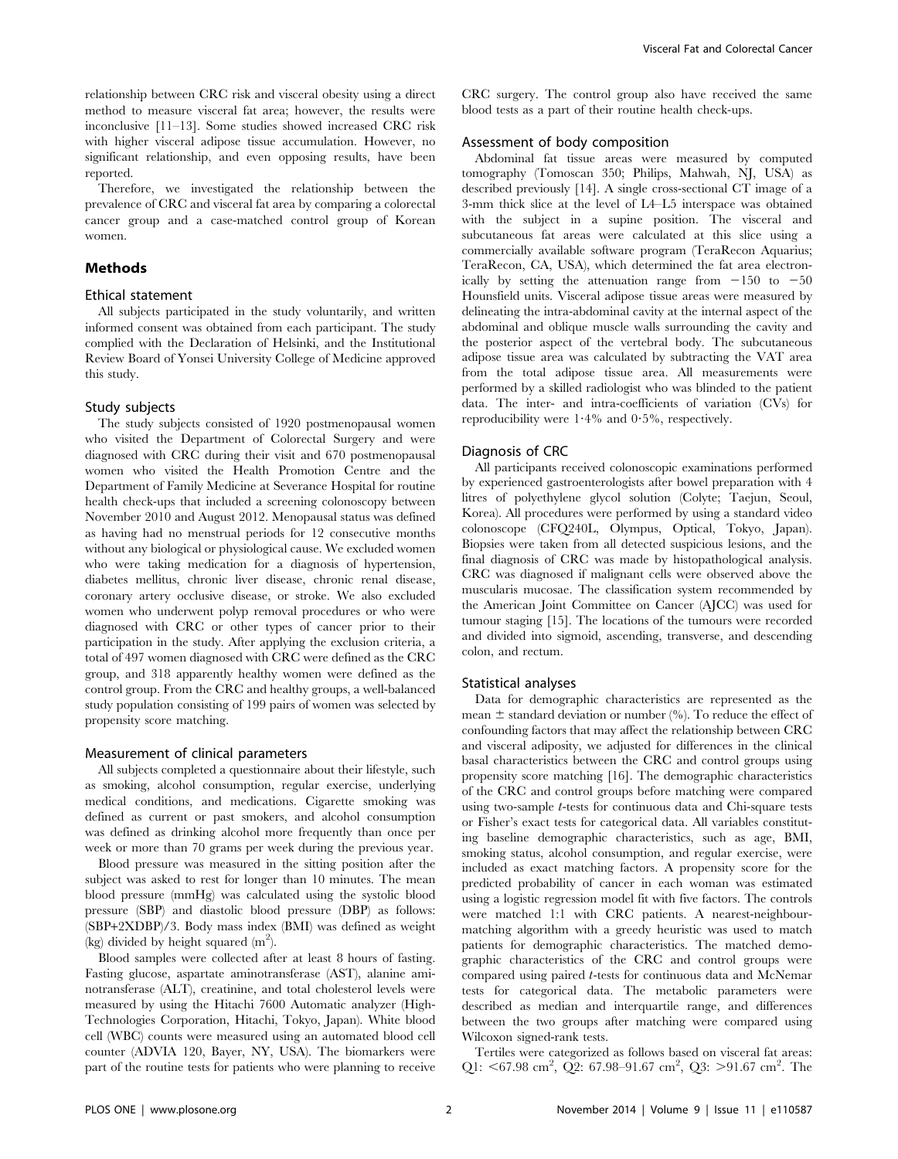relationship between CRC risk and visceral obesity using a direct method to measure visceral fat area; however, the results were inconclusive [11–13]. Some studies showed increased CRC risk with higher visceral adipose tissue accumulation. However, no significant relationship, and even opposing results, have been reported.

Therefore, we investigated the relationship between the prevalence of CRC and visceral fat area by comparing a colorectal cancer group and a case-matched control group of Korean women.

## Methods

#### Ethical statement

All subjects participated in the study voluntarily, and written informed consent was obtained from each participant. The study complied with the Declaration of Helsinki, and the Institutional Review Board of Yonsei University College of Medicine approved this study.

# Study subjects

The study subjects consisted of 1920 postmenopausal women who visited the Department of Colorectal Surgery and were diagnosed with CRC during their visit and 670 postmenopausal women who visited the Health Promotion Centre and the Department of Family Medicine at Severance Hospital for routine health check-ups that included a screening colonoscopy between November 2010 and August 2012. Menopausal status was defined as having had no menstrual periods for 12 consecutive months without any biological or physiological cause. We excluded women who were taking medication for a diagnosis of hypertension, diabetes mellitus, chronic liver disease, chronic renal disease, coronary artery occlusive disease, or stroke. We also excluded women who underwent polyp removal procedures or who were diagnosed with CRC or other types of cancer prior to their participation in the study. After applying the exclusion criteria, a total of 497 women diagnosed with CRC were defined as the CRC group, and 318 apparently healthy women were defined as the control group. From the CRC and healthy groups, a well-balanced study population consisting of 199 pairs of women was selected by propensity score matching.

### Measurement of clinical parameters

All subjects completed a questionnaire about their lifestyle, such as smoking, alcohol consumption, regular exercise, underlying medical conditions, and medications. Cigarette smoking was defined as current or past smokers, and alcohol consumption was defined as drinking alcohol more frequently than once per week or more than 70 grams per week during the previous year.

Blood pressure was measured in the sitting position after the subject was asked to rest for longer than 10 minutes. The mean blood pressure (mmHg) was calculated using the systolic blood pressure (SBP) and diastolic blood pressure (DBP) as follows: (SBP+2XDBP)/3. Body mass index (BMI) was defined as weight (kg) divided by height squared  $(m^2)$ .

Blood samples were collected after at least 8 hours of fasting. Fasting glucose, aspartate aminotransferase (AST), alanine aminotransferase (ALT), creatinine, and total cholesterol levels were measured by using the Hitachi 7600 Automatic analyzer (High-Technologies Corporation, Hitachi, Tokyo, Japan). White blood cell (WBC) counts were measured using an automated blood cell counter (ADVIA 120, Bayer, NY, USA). The biomarkers were part of the routine tests for patients who were planning to receive

CRC surgery. The control group also have received the same blood tests as a part of their routine health check-ups.

#### Assessment of body composition

Abdominal fat tissue areas were measured by computed tomography (Tomoscan 350; Philips, Mahwah, NJ, USA) as described previously [14]. A single cross-sectional CT image of a 3-mm thick slice at the level of L4–L5 interspace was obtained with the subject in a supine position. The visceral and subcutaneous fat areas were calculated at this slice using a commercially available software program (TeraRecon Aquarius; TeraRecon, CA, USA), which determined the fat area electronically by setting the attenuation range from  $-150$  to  $-50$ Hounsfield units. Visceral adipose tissue areas were measured by delineating the intra-abdominal cavity at the internal aspect of the abdominal and oblique muscle walls surrounding the cavity and the posterior aspect of the vertebral body. The subcutaneous adipose tissue area was calculated by subtracting the VAT area from the total adipose tissue area. All measurements were performed by a skilled radiologist who was blinded to the patient data. The inter- and intra-coefficients of variation (CVs) for reproducibility were  $1.4\%$  and  $0.5\%$ , respectively.

#### Diagnosis of CRC

All participants received colonoscopic examinations performed by experienced gastroenterologists after bowel preparation with 4 litres of polyethylene glycol solution (Colyte; Taejun, Seoul, Korea). All procedures were performed by using a standard video colonoscope (CFQ240L, Olympus, Optical, Tokyo, Japan). Biopsies were taken from all detected suspicious lesions, and the final diagnosis of CRC was made by histopathological analysis. CRC was diagnosed if malignant cells were observed above the muscularis mucosae. The classification system recommended by the American Joint Committee on Cancer (AJCC) was used for tumour staging [15]. The locations of the tumours were recorded and divided into sigmoid, ascending, transverse, and descending colon, and rectum.

#### Statistical analyses

Data for demographic characteristics are represented as the mean  $\pm$  standard deviation or number (%). To reduce the effect of confounding factors that may affect the relationship between CRC and visceral adiposity, we adjusted for differences in the clinical basal characteristics between the CRC and control groups using propensity score matching [16]. The demographic characteristics of the CRC and control groups before matching were compared using two-sample t-tests for continuous data and Chi-square tests or Fisher's exact tests for categorical data. All variables constituting baseline demographic characteristics, such as age, BMI, smoking status, alcohol consumption, and regular exercise, were included as exact matching factors. A propensity score for the predicted probability of cancer in each woman was estimated using a logistic regression model fit with five factors. The controls were matched 1:1 with CRC patients. A nearest-neighbourmatching algorithm with a greedy heuristic was used to match patients for demographic characteristics. The matched demographic characteristics of the CRC and control groups were compared using paired t-tests for continuous data and McNemar tests for categorical data. The metabolic parameters were described as median and interquartile range, and differences between the two groups after matching were compared using Wilcoxon signed-rank tests.

Tertiles were categorized as follows based on visceral fat areas: Q1:  $\leq$ 67.98 cm<sup>2</sup>, Q2: 67.98–91.67 cm<sup>2</sup>, Q3: >91.67 cm<sup>2</sup>. The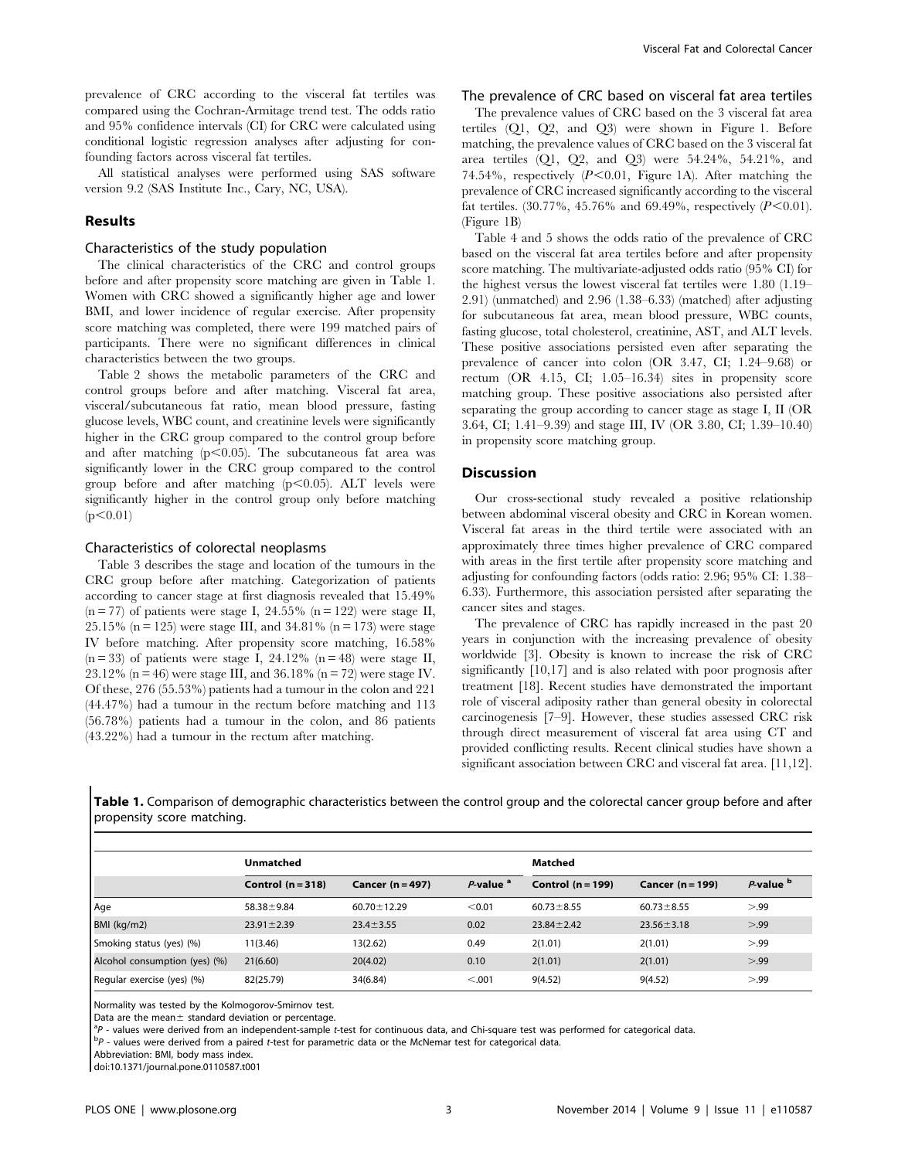prevalence of CRC according to the visceral fat tertiles was compared using the Cochran-Armitage trend test. The odds ratio and 95% confidence intervals (CI) for CRC were calculated using conditional logistic regression analyses after adjusting for confounding factors across visceral fat tertiles.

All statistical analyses were performed using SAS software version 9.2 (SAS Institute Inc., Cary, NC, USA).

# Results

# Characteristics of the study population

The clinical characteristics of the CRC and control groups before and after propensity score matching are given in Table 1. Women with CRC showed a significantly higher age and lower BMI, and lower incidence of regular exercise. After propensity score matching was completed, there were 199 matched pairs of participants. There were no significant differences in clinical characteristics between the two groups.

Table 2 shows the metabolic parameters of the CRC and control groups before and after matching. Visceral fat area, visceral/subcutaneous fat ratio, mean blood pressure, fasting glucose levels, WBC count, and creatinine levels were significantly higher in the CRC group compared to the control group before and after matching  $(p<0.05)$ . The subcutaneous fat area was significantly lower in the CRC group compared to the control group before and after matching  $(p<0.05)$ . ALT levels were significantly higher in the control group only before matching  $(p<0.01)$ 

#### Characteristics of colorectal neoplasms

Table 3 describes the stage and location of the tumours in the CRC group before after matching. Categorization of patients according to cancer stage at first diagnosis revealed that 15.49%  $(n = 77)$  of patients were stage I, 24.55%  $(n = 122)$  were stage II, 25.15% (n = 125) were stage III, and 34.81% (n = 173) were stage IV before matching. After propensity score matching, 16.58%  $(n = 33)$  of patients were stage I, 24.12%  $(n = 48)$  were stage II, 23.12% (n = 46) were stage III, and 36.18% (n = 72) were stage IV. Of these, 276 (55.53%) patients had a tumour in the colon and 221 (44.47%) had a tumour in the rectum before matching and 113 (56.78%) patients had a tumour in the colon, and 86 patients (43.22%) had a tumour in the rectum after matching.

### The prevalence of CRC based on visceral fat area tertiles

The prevalence values of CRC based on the 3 visceral fat area tertiles (Q1, Q2, and Q3) were shown in Figure 1. Before matching, the prevalence values of CRC based on the 3 visceral fat area tertiles (Q1, Q2, and Q3) were 54.24%, 54.21%, and 74.54%, respectively  $(P<0.01$ , Figure 1A). After matching the prevalence of CRC increased significantly according to the visceral fat tertiles. (30.77%, 45.76% and 69.49%, respectively  $(P<0.01)$ . (Figure 1B)

Table 4 and 5 shows the odds ratio of the prevalence of CRC based on the visceral fat area tertiles before and after propensity score matching. The multivariate-adjusted odds ratio (95% CI) for the highest versus the lowest visceral fat tertiles were 1.80 (1.19– 2.91) (unmatched) and 2.96 (1.38–6.33) (matched) after adjusting for subcutaneous fat area, mean blood pressure, WBC counts, fasting glucose, total cholesterol, creatinine, AST, and ALT levels. These positive associations persisted even after separating the prevalence of cancer into colon (OR 3.47, CI; 1.24–9.68) or rectum (OR 4.15, CI; 1.05–16.34) sites in propensity score matching group. These positive associations also persisted after separating the group according to cancer stage as stage I, II (OR 3.64, CI; 1.41–9.39) and stage III, IV (OR 3.80, CI; 1.39–10.40) in propensity score matching group.

#### **Discussion**

Our cross-sectional study revealed a positive relationship between abdominal visceral obesity and CRC in Korean women. Visceral fat areas in the third tertile were associated with an approximately three times higher prevalence of CRC compared with areas in the first tertile after propensity score matching and adjusting for confounding factors (odds ratio: 2.96; 95% CI: 1.38– 6.33). Furthermore, this association persisted after separating the cancer sites and stages.

The prevalence of CRC has rapidly increased in the past 20 years in conjunction with the increasing prevalence of obesity worldwide [3]. Obesity is known to increase the risk of CRC significantly [10,17] and is also related with poor prognosis after treatment [18]. Recent studies have demonstrated the important role of visceral adiposity rather than general obesity in colorectal carcinogenesis [7–9]. However, these studies assessed CRC risk through direct measurement of visceral fat area using CT and provided conflicting results. Recent clinical studies have shown a significant association between CRC and visceral fat area. [11,12].

Table 1. Comparison of demographic characteristics between the control group and the colorectal cancer group before and after propensity score matching.

|                               | <b>Unmatched</b>    |                    | Matched         |                     |                    |                |
|-------------------------------|---------------------|--------------------|-----------------|---------------------|--------------------|----------------|
|                               | Control $(n = 318)$ | Cancer $(n = 497)$ | $P$ -value $^a$ | Control $(n = 199)$ | Cancer $(n = 199)$ | $P$ -value $b$ |
| Age                           | $58.38 \pm 9.84$    | $60.70 \pm 12.29$  | < 0.01          | $60.73 \pm 8.55$    | $60.73 \pm 8.55$   | > 99           |
| BMI (kg/m2)                   | $23.91 \pm 2.39$    | $23.4 \pm 3.55$    | 0.02            | $23.84 \pm 2.42$    | $23.56 \pm 3.18$   | > 99           |
| Smoking status (yes) (%)      | 11(3.46)            | 13(2.62)           | 0.49            | 2(1.01)             | 2(1.01)            | > 99           |
| Alcohol consumption (yes) (%) | 21(6.60)            | 20(4.02)           | 0.10            | 2(1.01)             | 2(1.01)            | > 99           |
| Regular exercise (yes) (%)    | 82(25.79)           | 34(6.84)           | < 0.001         | 9(4.52)             | 9(4.52)            | > 99           |

Normality was tested by the Kolmogorov-Smirnov test.

Data are the mean $\pm$  standard deviation or percentage.

ap - values were derived from an independent-sample t-test for continuous data, and Chi-square test was performed for categorical data.

 $P_P$  - values were derived from a paired t-test for parametric data or the McNemar test for categorical data.

Abbreviation: BMI, body mass index.

doi:10.1371/journal.pone.0110587.t001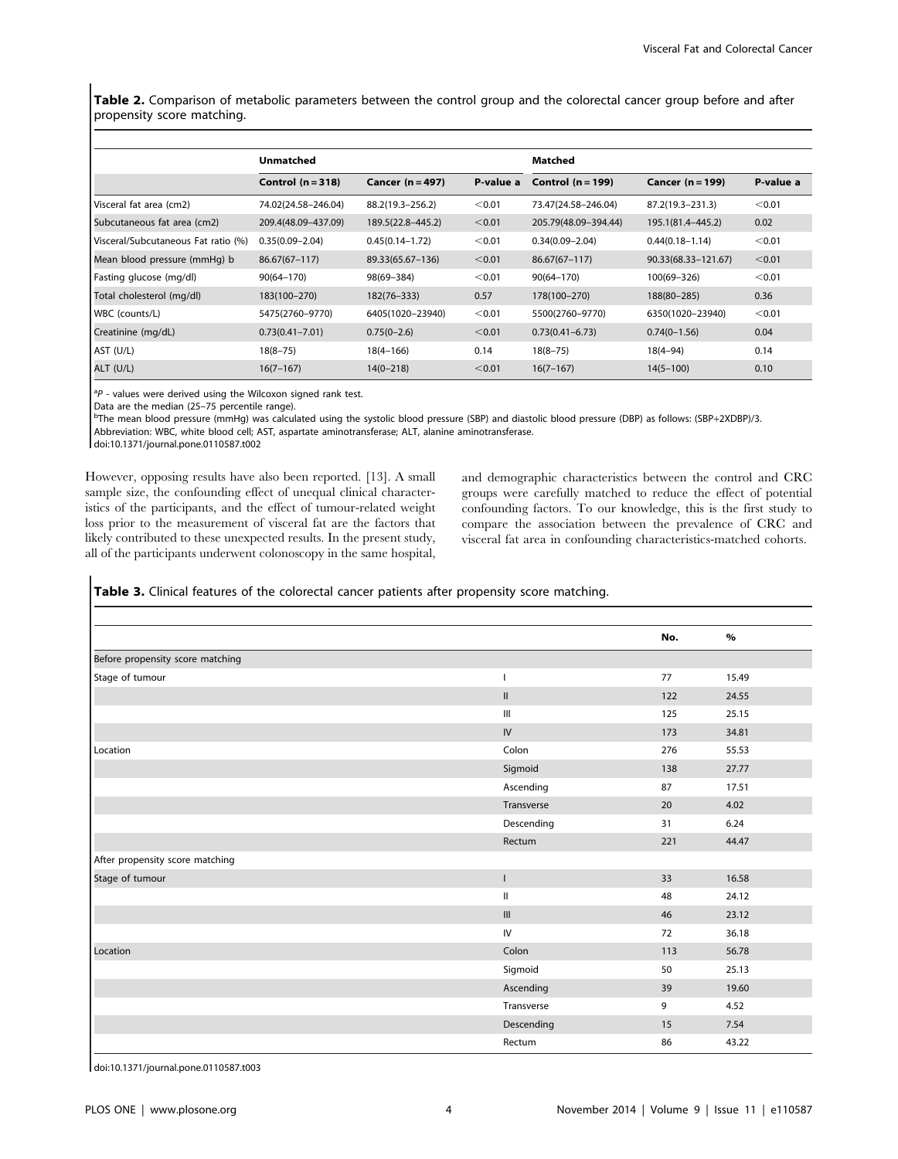Table 2. Comparison of metabolic parameters between the control group and the colorectal cancer group before and after propensity score matching.

|                                     | Unmatched           |                     | Matched   |                      |                     |           |
|-------------------------------------|---------------------|---------------------|-----------|----------------------|---------------------|-----------|
|                                     | Control $(n = 318)$ | Cancer $(n = 497)$  | P-value a | Control $(n = 199)$  | Cancer $(n = 199)$  | P-value a |
| Visceral fat area (cm2)             | 74.02(24.58-246.04) | 88.2(19.3-256.2)    | < 0.01    | 73.47(24.58-246.04)  | 87.2(19.3-231.3)    | < 0.01    |
| Subcutaneous fat area (cm2)         | 209.4(48.09-437.09) | 189.5(22.8-445.2)   | < 0.01    | 205.79(48.09-394.44) | 195.1(81.4-445.2)   | 0.02      |
| Visceral/Subcutaneous Fat ratio (%) | $0.35(0.09 - 2.04)$ | $0.45(0.14 - 1.72)$ | < 0.01    | $0.34(0.09 - 2.04)$  | $0.44(0.18 - 1.14)$ | < 0.01    |
| Mean blood pressure (mmHq) b        | $86.67(67 - 117)$   | 89.33(65.67-136)    | < 0.01    | $86.67(67 - 117)$    | 90.33(68.33-121.67) | < 0.01    |
| Fasting glucose (mg/dl)             | $90(64 - 170)$      | 98(69-384)          | < 0.01    | $90(64 - 170)$       | 100(69-326)         | < 0.01    |
| Total cholesterol (mg/dl)           | 183(100-270)        | $182(76 - 333)$     | 0.57      | 178(100-270)         | 188(80-285)         | 0.36      |
| WBC (counts/L)                      | 5475(2760-9770)     | 6405(1020-23940)    | < 0.01    | 5500(2760-9770)      | 6350(1020-23940)    | < 0.01    |
| Creatinine (mg/dL)                  | $0.73(0.41 - 7.01)$ | $0.75(0-2.6)$       | < 0.01    | $0.73(0.41 - 6.73)$  | $0.74(0 - 1.56)$    | 0.04      |
| AST (U/L)                           | $18(8 - 75)$        | $18(4 - 166)$       | 0.14      | $18(8 - 75)$         | $18(4 - 94)$        | 0.14      |
| ALT (U/L)                           | $16(7 - 167)$       | $14(0 - 218)$       | < 0.01    | $16(7-167)$          | $14(5 - 100)$       | 0.10      |

<sup>a</sup>P - values were derived using the Wilcoxon signed rank test.

Data are the median (25–75 percentile range).

b The mean blood pressure (mmHg) was calculated using the systolic blood pressure (SBP) and diastolic blood pressure (DBP) as follows: (SBP+2XDBP)/3.

Abbreviation: WBC, white blood cell; AST, aspartate aminotransferase; ALT, alanine aminotransferase.

doi:10.1371/journal.pone.0110587.t002

However, opposing results have also been reported. [13]. A small sample size, the confounding effect of unequal clinical characteristics of the participants, and the effect of tumour-related weight loss prior to the measurement of visceral fat are the factors that likely contributed to these unexpected results. In the present study, all of the participants underwent colonoscopy in the same hospital, and demographic characteristics between the control and CRC groups were carefully matched to reduce the effect of potential confounding factors. To our knowledge, this is the first study to compare the association between the prevalence of CRC and visceral fat area in confounding characteristics-matched cohorts.

# Table 3. Clinical features of the colorectal cancer patients after propensity score matching.

|                                  |                                    | No. | $\%$  |  |
|----------------------------------|------------------------------------|-----|-------|--|
| Before propensity score matching |                                    |     |       |  |
| Stage of tumour                  |                                    | 77  | 15.49 |  |
|                                  | $\mathbf{II}$                      | 122 | 24.55 |  |
|                                  | $\ensuremath{\mathsf{III}}\xspace$ | 125 | 25.15 |  |
|                                  | IV                                 | 173 | 34.81 |  |
| Location                         | Colon                              | 276 | 55.53 |  |
|                                  | Sigmoid                            | 138 | 27.77 |  |
|                                  | Ascending                          | 87  | 17.51 |  |
|                                  | Transverse                         | 20  | 4.02  |  |
|                                  | Descending                         | 31  | 6.24  |  |
|                                  | Rectum                             | 221 | 44.47 |  |
| After propensity score matching  |                                    |     |       |  |
| Stage of tumour                  | T                                  | 33  | 16.58 |  |
|                                  | Ш.                                 | 48  | 24.12 |  |
|                                  | $\mathbf{III}$                     | 46  | 23.12 |  |
|                                  | IV                                 | 72  | 36.18 |  |
| Location                         | Colon                              | 113 | 56.78 |  |
|                                  | Sigmoid                            | 50  | 25.13 |  |
|                                  | Ascending                          | 39  | 19.60 |  |
|                                  | Transverse                         | 9   | 4.52  |  |
|                                  | Descending                         | 15  | 7.54  |  |
|                                  | Rectum                             | 86  | 43.22 |  |

doi:10.1371/journal.pone.0110587.t003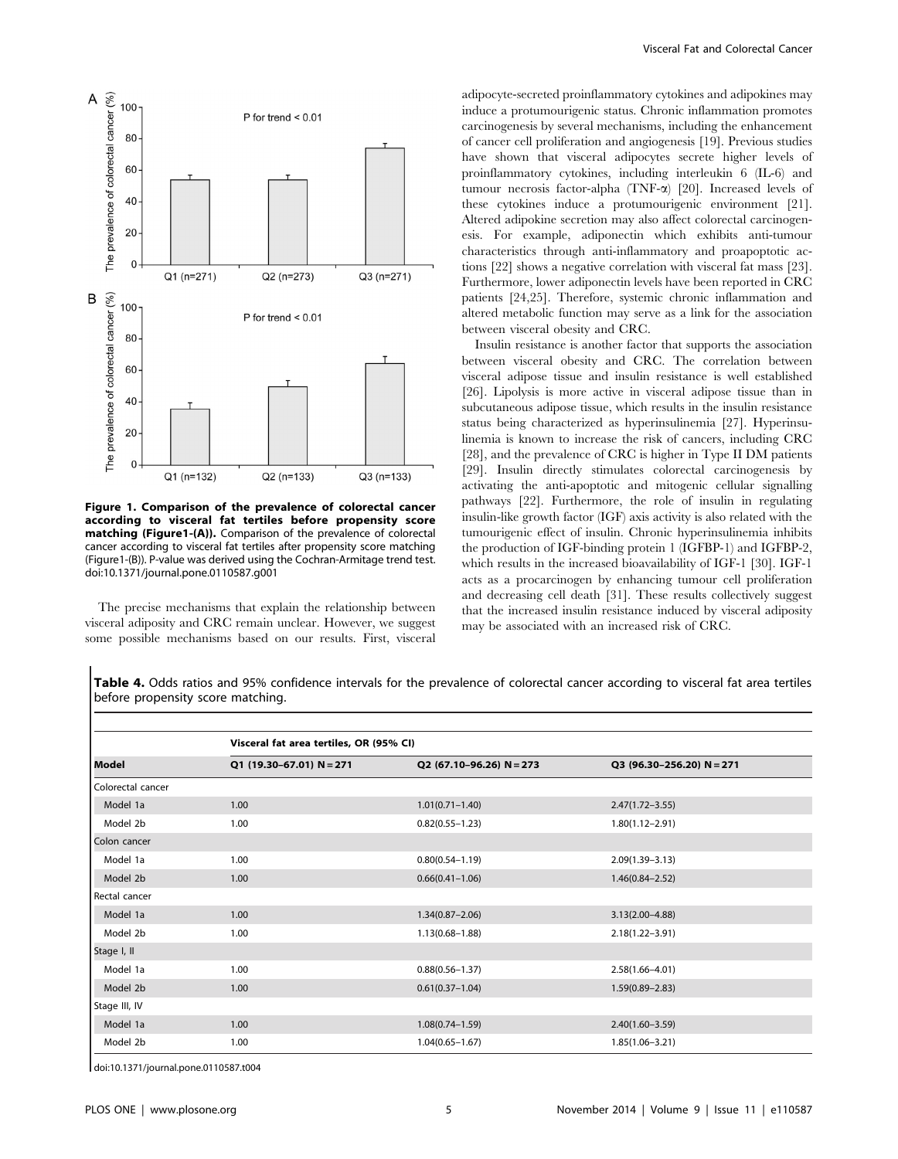

Figure 1. Comparison of the prevalence of colorectal cancer according to visceral fat tertiles before propensity score matching (Figure1-(A)). Comparison of the prevalence of colorectal cancer according to visceral fat tertiles after propensity score matching (Figure1-(B)). P-value was derived using the Cochran-Armitage trend test. doi:10.1371/journal.pone.0110587.g001

The precise mechanisms that explain the relationship between visceral adiposity and CRC remain unclear. However, we suggest some possible mechanisms based on our results. First, visceral adipocyte-secreted proinflammatory cytokines and adipokines may induce a protumourigenic status. Chronic inflammation promotes carcinogenesis by several mechanisms, including the enhancement of cancer cell proliferation and angiogenesis [19]. Previous studies have shown that visceral adipocytes secrete higher levels of proinflammatory cytokines, including interleukin 6 (IL-6) and tumour necrosis factor-alpha (TNF-a) [20]. Increased levels of these cytokines induce a protumourigenic environment [21]. Altered adipokine secretion may also affect colorectal carcinogenesis. For example, adiponectin which exhibits anti-tumour characteristics through anti-inflammatory and proapoptotic actions [22] shows a negative correlation with visceral fat mass [23]. Furthermore, lower adiponectin levels have been reported in CRC patients [24,25]. Therefore, systemic chronic inflammation and altered metabolic function may serve as a link for the association between visceral obesity and CRC.

Insulin resistance is another factor that supports the association between visceral obesity and CRC. The correlation between visceral adipose tissue and insulin resistance is well established [26]. Lipolysis is more active in visceral adipose tissue than in subcutaneous adipose tissue, which results in the insulin resistance status being characterized as hyperinsulinemia [27]. Hyperinsulinemia is known to increase the risk of cancers, including CRC [28], and the prevalence of CRC is higher in Type II DM patients [29]. Insulin directly stimulates colorectal carcinogenesis by activating the anti-apoptotic and mitogenic cellular signalling pathways [22]. Furthermore, the role of insulin in regulating insulin-like growth factor (IGF) axis activity is also related with the tumourigenic effect of insulin. Chronic hyperinsulinemia inhibits the production of IGF-binding protein 1 (IGFBP-1) and IGFBP-2, which results in the increased bioavailability of IGF-1 [30]. IGF-1 acts as a procarcinogen by enhancing tumour cell proliferation and decreasing cell death [31]. These results collectively suggest that the increased insulin resistance induced by visceral adiposity may be associated with an increased risk of CRC.

Table 4. Odds ratios and 95% confidence intervals for the prevalence of colorectal cancer according to visceral fat area tertiles before propensity score matching.

|                   | Visceral fat area tertiles, OR (95% CI) |                          |                     |  |  |
|-------------------|-----------------------------------------|--------------------------|---------------------|--|--|
| <b>Model</b>      | $Q1$ (19.30-67.01) N = 271              | Q2 (67.10-96.26) N = 273 |                     |  |  |
| Colorectal cancer |                                         |                          |                     |  |  |
| Model 1a          | 1.00                                    | $1.01(0.71 - 1.40)$      | $2.47(1.72 - 3.55)$ |  |  |
| Model 2b          | 1.00                                    | $0.82(0.55 - 1.23)$      | $1.80(1.12 - 2.91)$ |  |  |
| Colon cancer      |                                         |                          |                     |  |  |
| Model 1a          | 1.00                                    | $0.80(0.54 - 1.19)$      | $2.09(1.39 - 3.13)$ |  |  |
| Model 2b          | 1.00                                    | $0.66(0.41 - 1.06)$      | $1.46(0.84 - 2.52)$ |  |  |
| Rectal cancer     |                                         |                          |                     |  |  |
| Model 1a          | 1.00                                    | $1.34(0.87 - 2.06)$      | $3.13(2.00 - 4.88)$ |  |  |
| Model 2b          | 1.00                                    | $1.13(0.68 - 1.88)$      | $2.18(1.22 - 3.91)$ |  |  |
| Stage I, II       |                                         |                          |                     |  |  |
| Model 1a          | 1.00                                    | $0.88(0.56 - 1.37)$      | $2.58(1.66 - 4.01)$ |  |  |
| Model 2b          | 1.00                                    | $0.61(0.37 - 1.04)$      | $1.59(0.89 - 2.83)$ |  |  |
| Stage III, IV     |                                         |                          |                     |  |  |
| Model 1a          | 1.00                                    | $1.08(0.74 - 1.59)$      | $2.40(1.60 - 3.59)$ |  |  |
| Model 2b          | 1.00                                    | $1.04(0.65 - 1.67)$      | $1.85(1.06 - 3.21)$ |  |  |

doi:10.1371/journal.pone.0110587.t004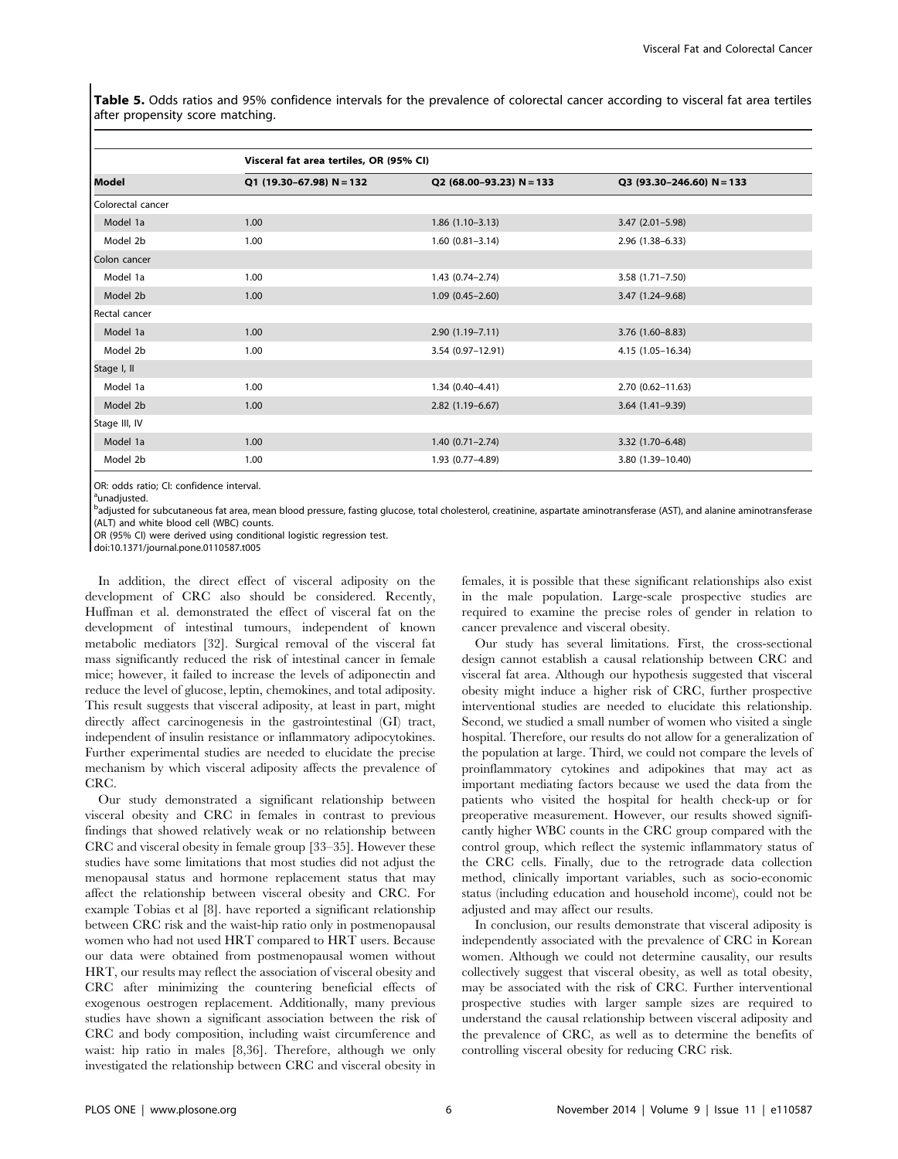Table 5. Odds ratios and 95% confidence intervals for the prevalence of colorectal cancer according to visceral fat area tertiles after propensity score matching.

|                   |                            | Visceral fat area tertiles, OR (95% CI) |                        |  |  |  |
|-------------------|----------------------------|-----------------------------------------|------------------------|--|--|--|
| Model             | $Q1$ (19.30-67.98) N = 132 | $Q2(68.00-93.23) N = 133$               |                        |  |  |  |
| Colorectal cancer |                            |                                         |                        |  |  |  |
| Model 1a          | 1.00                       | $1.86(1.10-3.13)$                       | $3.47(2.01 - 5.98)$    |  |  |  |
| Model 2b          | 1.00                       | $1.60(0.81 - 3.14)$                     | 2.96 (1.38-6.33)       |  |  |  |
| Colon cancer      |                            |                                         |                        |  |  |  |
| Model 1a          | 1.00                       | $1.43(0.74 - 2.74)$                     | $3.58(1.71 - 7.50)$    |  |  |  |
| Model 2b          | 1.00                       | $1.09(0.45 - 2.60)$                     | $3.47(1.24 - 9.68)$    |  |  |  |
| Rectal cancer     |                            |                                         |                        |  |  |  |
| Model 1a          | 1.00                       | $2.90(1.19 - 7.11)$                     | $3.76$ (1.60-8.83)     |  |  |  |
| Model 2b          | 1.00                       | 3.54 (0.97-12.91)                       | 4.15 (1.05-16.34)      |  |  |  |
| Stage I, II       |                            |                                         |                        |  |  |  |
| Model 1a          | 1.00                       | $1.34(0.40 - 4.41)$                     | 2.70 (0.62-11.63)      |  |  |  |
| Model 2b          | 1.00                       | $2.82(1.19-6.67)$                       | $3.64$ $(1.41 - 9.39)$ |  |  |  |
| Stage III, IV     |                            |                                         |                        |  |  |  |
| Model 1a          | 1.00                       | $1.40(0.71 - 2.74)$                     | 3.32 (1.70-6.48)       |  |  |  |
| Model 2b          | 1.00                       | 1.93 (0.77-4.89)                        | 3.80 (1.39-10.40)      |  |  |  |

OR: odds ratio; CI: confidence interval.

<sup>a</sup>unadjusted.

badjusted for subcutaneous fat area, mean blood pressure, fasting glucose, total cholesterol, creatinine, aspartate aminotransferase (AST), and alanine aminotransferase (ALT) and white blood cell (WBC) counts.

OR (95% CI) were derived using conditional logistic regression test.

doi:10.1371/journal.pone.0110587.t005

In addition, the direct effect of visceral adiposity on the development of CRC also should be considered. Recently, Huffman et al. demonstrated the effect of visceral fat on the development of intestinal tumours, independent of known metabolic mediators [32]. Surgical removal of the visceral fat mass significantly reduced the risk of intestinal cancer in female mice; however, it failed to increase the levels of adiponectin and reduce the level of glucose, leptin, chemokines, and total adiposity. This result suggests that visceral adiposity, at least in part, might directly affect carcinogenesis in the gastrointestinal (GI) tract, independent of insulin resistance or inflammatory adipocytokines. Further experimental studies are needed to elucidate the precise mechanism by which visceral adiposity affects the prevalence of CRC.

Our study demonstrated a significant relationship between visceral obesity and CRC in females in contrast to previous findings that showed relatively weak or no relationship between CRC and visceral obesity in female group [33–35]. However these studies have some limitations that most studies did not adjust the menopausal status and hormone replacement status that may affect the relationship between visceral obesity and CRC. For example Tobias et al [8]. have reported a significant relationship between CRC risk and the waist-hip ratio only in postmenopausal women who had not used HRT compared to HRT users. Because our data were obtained from postmenopausal women without HRT, our results may reflect the association of visceral obesity and CRC after minimizing the countering beneficial effects of exogenous oestrogen replacement. Additionally, many previous studies have shown a significant association between the risk of CRC and body composition, including waist circumference and waist: hip ratio in males [8,36]. Therefore, although we only investigated the relationship between CRC and visceral obesity in females, it is possible that these significant relationships also exist in the male population. Large-scale prospective studies are required to examine the precise roles of gender in relation to cancer prevalence and visceral obesity.

Our study has several limitations. First, the cross-sectional design cannot establish a causal relationship between CRC and visceral fat area. Although our hypothesis suggested that visceral obesity might induce a higher risk of CRC, further prospective interventional studies are needed to elucidate this relationship. Second, we studied a small number of women who visited a single hospital. Therefore, our results do not allow for a generalization of the population at large. Third, we could not compare the levels of proinflammatory cytokines and adipokines that may act as important mediating factors because we used the data from the patients who visited the hospital for health check-up or for preoperative measurement. However, our results showed significantly higher WBC counts in the CRC group compared with the control group, which reflect the systemic inflammatory status of the CRC cells. Finally, due to the retrograde data collection method, clinically important variables, such as socio-economic status (including education and household income), could not be adjusted and may affect our results.

In conclusion, our results demonstrate that visceral adiposity is independently associated with the prevalence of CRC in Korean women. Although we could not determine causality, our results collectively suggest that visceral obesity, as well as total obesity, may be associated with the risk of CRC. Further interventional prospective studies with larger sample sizes are required to understand the causal relationship between visceral adiposity and the prevalence of CRC, as well as to determine the benefits of controlling visceral obesity for reducing CRC risk.